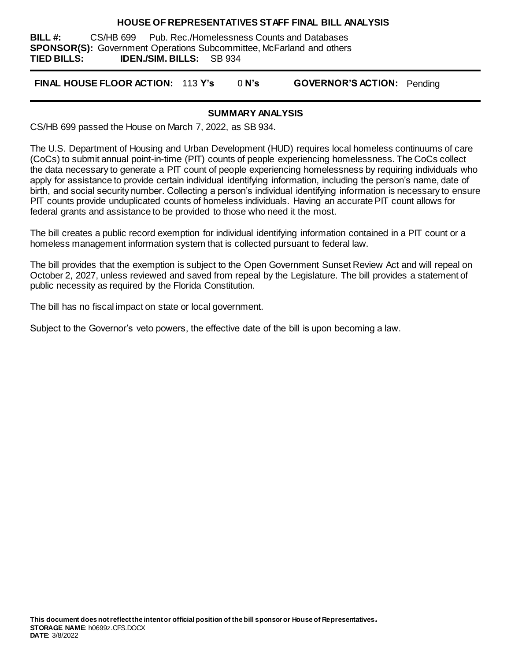#### **HOUSE OF REPRESENTATIVES STAFF FINAL BILL ANALYSIS**

**BILL #:** CS/HB 699 Pub. Rec./Homelessness Counts and Databases **SPONSOR(S):** Government Operations Subcommittee, McFarland and others **TIED BILLS: IDEN./SIM. BILLS:** SB 934

**FINAL HOUSE FLOOR ACTION:** 113 **Y's** 0 **N's GOVERNOR'S ACTION:** Pending

#### **SUMMARY ANALYSIS**

CS/HB 699 passed the House on March 7, 2022, as SB 934.

The U.S. Department of Housing and Urban Development (HUD) requires local homeless continuums of care (CoCs) to submit annual point-in-time (PIT) counts of people experiencing homelessness. The CoCs collect the data necessary to generate a PIT count of people experiencing homelessness by requiring individuals who apply for assistance to provide certain individual identifying information, including the person's name, date of birth, and social security number. Collecting a person's individual identifying information is necessary to ensure PIT counts provide unduplicated counts of homeless individuals. Having an accurate PIT count allows for federal grants and assistance to be provided to those who need it the most.

The bill creates a public record exemption for individual identifying information contained in a PIT count or a homeless management information system that is collected pursuant to federal law.

The bill provides that the exemption is subject to the Open Government Sunset Review Act and will repeal on October 2, 2027, unless reviewed and saved from repeal by the Legislature. The bill provides a statement of public necessity as required by the Florida Constitution.

The bill has no fiscal impact on state or local government.

Subject to the Governor's veto powers, the effective date of the bill is upon becoming a law.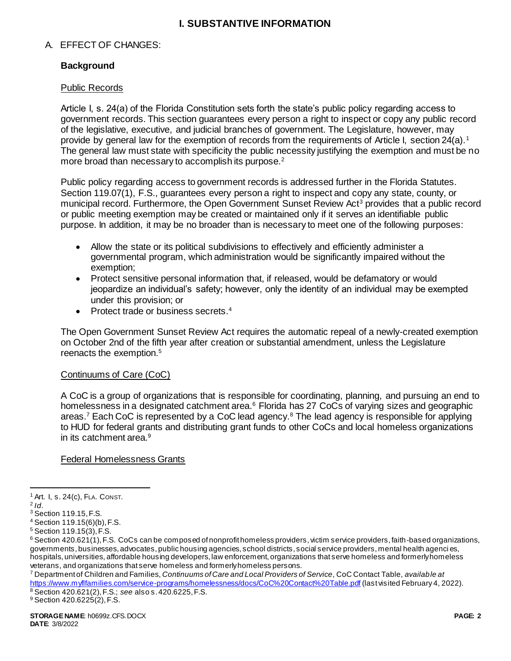## **I. SUBSTANTIVE INFORMATION**

## A. EFFECT OF CHANGES:

## **Background**

#### Public Records

Article I, s. 24(a) of the Florida Constitution sets forth the state's public policy regarding access to government records. This section guarantees every person a right to inspect or copy any public record of the legislative, executive, and judicial branches of government. The Legislature, however, may provide by general law for the exemption of records from the requirements of Article I, section 24(a).<sup>1</sup> The general law must state with specificity the public necessity justifying the exemption and must be no more broad than necessary to accomplish its purpose.<sup>2</sup>

Public policy regarding access to government records is addressed further in the Florida Statutes. Section 119.07(1), F.S., guarantees every person a right to inspect and copy any state, county, or municipal record. Furthermore, the Open Government Sunset Review Act<sup>3</sup> provides that a public record or public meeting exemption may be created or maintained only if it serves an identifiable public purpose. In addition, it may be no broader than is necessary to meet one of the following purposes:

- Allow the state or its political subdivisions to effectively and efficiently administer a governmental program, which administration would be significantly impaired without the exemption;
- Protect sensitive personal information that, if released, would be defamatory or would jeopardize an individual's safety; however, only the identity of an individual may be exempted under this provision; or
- Protect trade or business secrets.<sup>4</sup>

The Open Government Sunset Review Act requires the automatic repeal of a newly-created exemption on October 2nd of the fifth year after creation or substantial amendment, unless the Legislature reenacts the exemption.<sup>5</sup>

## Continuums of Care (CoC)

A CoC is a group of organizations that is responsible for coordinating, planning, and pursuing an end to homelessness in a designated catchment area.<sup>6</sup> Florida has 27 CoCs of varying sizes and geographic areas.<sup>7</sup> Each CoC is represented by a CoC lead agency.<sup>8</sup> The lead agency is responsible for applying to HUD for federal grants and distributing grant funds to other CoCs and local homeless organizations in its catchment area.<sup>9</sup>

#### Federal Homelessness Grants

 $\overline{a}$ 

<sup>9</sup> Section 420.6225(2), F.S.

<sup>1</sup> Art. I, s. 24(c), FLA. CONST.

<sup>2</sup> *Id*.

<sup>3</sup> Section 119.15, F.S.

<sup>4</sup> Section 119.15(6)(b), F.S.

<sup>5</sup> Section 119.15(3), F.S.

 $6$  Section 420.621(1), F.S. CoCs can be composed of nonprofit homeless providers, victim service providers, faith-based organizations, governments, businesses, advocates, public housing agencies, school districts, social service providers, mental health agenci es, hospitals, universities, affordable housing developers, law enforcement, organizations that serve homeless and formerly homeless veterans, and organizations that serve homeless and formerly homeless persons.

<sup>7</sup> Department of Children and Families, *Continuums of Care and Local Providers of Service*, CoC Contact Table, *available at* <https://www.myflfamilies.com/service-programs/homelessness/docs/CoC%20Contact%20Table.pdf> (last visited February 4, 2022). <sup>8</sup> Section 420.621(2), F.S.; *see* also s. 420.6225, F.S.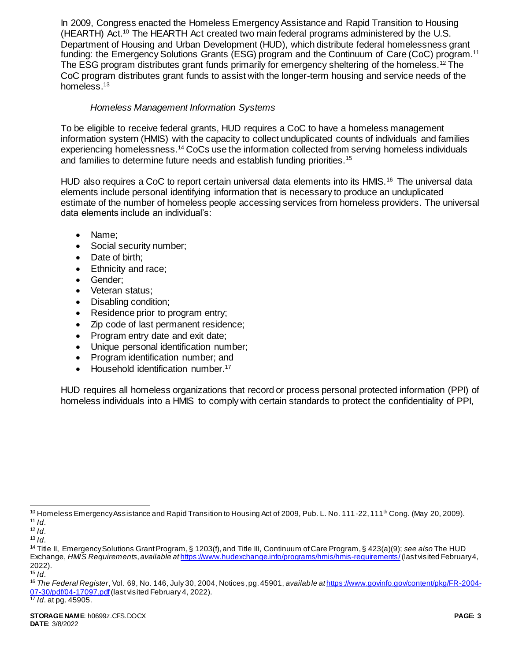In 2009, Congress enacted the Homeless Emergency Assistance and Rapid Transition to Housing (HEARTH) Act.<sup>10</sup> The HEARTH Act created two main federal programs administered by the U.S. Department of Housing and Urban Development (HUD), which distribute federal homelessness grant funding: the Emergency Solutions Grants (ESG) program and the Continuum of Care (CoC) program.<sup>11</sup> The ESG program distributes grant funds primarily for emergency sheltering of the homeless.<sup>12</sup> The CoC program distributes grant funds to assist with the longer-term housing and service needs of the homeless.<sup>13</sup>

## *Homeless Management Information Systems*

To be eligible to receive federal grants, HUD requires a CoC to have a homeless management information system (HMIS) with the capacity to collect unduplicated counts of individuals and families experiencing homelessness.<sup>14</sup> CoCs use the information collected from serving homeless individuals and families to determine future needs and establish funding priorities.<sup>15</sup>

HUD also requires a CoC to report certain universal data elements into its HMIS.<sup>16</sup> The universal data elements include personal identifying information that is necessary to produce an unduplicated estimate of the number of homeless people accessing services from homeless providers. The universal data elements include an individual's:

- Name;
- Social security number;
- Date of birth;
- Ethnicity and race:
- Gender:
- Veteran status;
- Disabling condition;
- Residence prior to program entry;
- Zip code of last permanent residence;
- Program entry date and exit date;
- Unique personal identification number;
- Program identification number; and
- Household identification number.<sup>17</sup>

HUD requires all homeless organizations that record or process personal protected information (PPI) of homeless individuals into a HMIS to comply with certain standards to protect the confidentiality of PPI,

l <sup>10</sup> Homeless Emergency Assistance and Rapid Transition to Housing Act of 2009, Pub. L. No. 111-22, 111<sup>th</sup> Cong. (May 20, 2009).  $11$  *Id.* 

 $12$  *Id.* 

 $13$  *Id.* 

<sup>14</sup> Title II, Emergency Solutions Grant Program, § 1203(f), and Title III, Continuum of Care Program, § 423(a)(9); *see also* The HUD Exchange, *HMIS Requirements*, *available at* <https://www.hudexchange.info/programs/hmis/hmis-requirements/>(last visited February 4, 2022).

<sup>15</sup> *Id*.

<sup>16</sup> *The Federal Register*, Vol. 69, No. 146, July 30, 2004, Notices, pg. 45901, *available at* [https://www.govinfo.gov/content/pkg/FR-2004-](https://www.govinfo.gov/content/pkg/FR-2004-07-30/pdf/04-17097.pdf) [07-30/pdf/04-17097.pdf](https://www.govinfo.gov/content/pkg/FR-2004-07-30/pdf/04-17097.pdf) (last visited February 4, 2022).

<sup>17</sup> *Id*. at pg. 45905.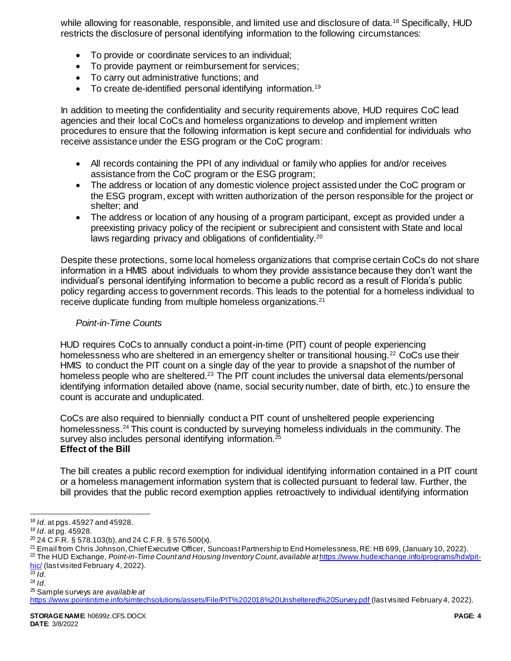while allowing for reasonable, responsible, and limited use and disclosure of data.<sup>18</sup> Specifically, HUD restricts the disclosure of personal identifying information to the following circumstances:

- To provide or coordinate services to an individual;
- To provide payment or reimbursement for services;
- To carry out administrative functions; and
- $\bullet$  To create de-identified personal identifying information.<sup>19</sup>

In addition to meeting the confidentiality and security requirements above, HUD requires CoC lead agencies and their local CoCs and homeless organizations to develop and implement written procedures to ensure that the following information is kept secure and confidential for individuals who receive assistance under the ESG program or the CoC program:

- All records containing the PPI of any individual or family who applies for and/or receives assistance from the CoC program or the ESG program;
- The address or location of any domestic violence project assisted under the CoC program or the ESG program, except with written authorization of the person responsible for the project or shelter; and
- The address or location of any housing of a program participant, except as provided under a preexisting privacy policy of the recipient or subrecipient and consistent with State and local laws regarding privacy and obligations of confidentiality.<sup>20</sup>

Despite these protections, some local homeless organizations that comprise certain CoCs do not share information in a HMIS about individuals to whom they provide assistance because they don't want the individual's personal identifying information to become a public record as a result of Florida's public policy regarding access to government records. This leads to the potential for a homeless individual to receive duplicate funding from multiple homeless organizations.<sup>21</sup>

## *Point-in-Time Counts*

HUD requires CoCs to annually conduct a point-in-time (PIT) count of people experiencing homelessness who are sheltered in an emergency shelter or transitional housing.<sup>22</sup> CoCs use their HMIS to conduct the PIT count on a single day of the year to provide a snapshot of the number of homeless people who are sheltered.<sup>23</sup> The PIT count includes the universal data elements/personal identifying information detailed above (name, social security number, date of birth, etc.) to ensure the count is accurate and unduplicated.

CoCs are also required to biennially conduct a PIT count of unsheltered people experiencing homelessness.<sup>24</sup> This count is conducted by surveying homeless individuals in the community. The survey also includes personal identifying information.<sup>25</sup> **Effect of the Bill**

The bill creates a public record exemption for individual identifying information contained in a PIT count or a homeless management information system that is collected pursuant to federal law. Further, the bill provides that the public record exemption applies retroactively to individual identifying information

<sup>25</sup> Sample surveys are *available at*

l <sup>18</sup> *Id*. at pgs. 45927 and 45928.

<sup>19</sup> *Id*. at pg. 45928.

 $20$  24 C.F.R. § 578.103(b), and 24 C.F.R. § 576.500(x).

<sup>21</sup> Email from Chris Johnson, Chief Executive Officer, Suncoast Partnership to End Homelessness, RE: HB 699, (January 10, 2022). <sup>22</sup> The HUD Exchange, *Point-in-Time Count and Housing Inventory Count*, *available at* [https://www.hudexchange.info/programs/hdx/pit](https://www.hudexchange.info/programs/hdx/pit-hic/)[hic/](https://www.hudexchange.info/programs/hdx/pit-hic/) (last visited February 4, 2022).

 $\overline{^{23}$  *Id.* 

<sup>24</sup> *Id*.

<https://www.pointintime.info/simtechsolutions/assets/File/PIT%202018%20Unsheltered%20Survey.pdf> (last visited February 4, 2022).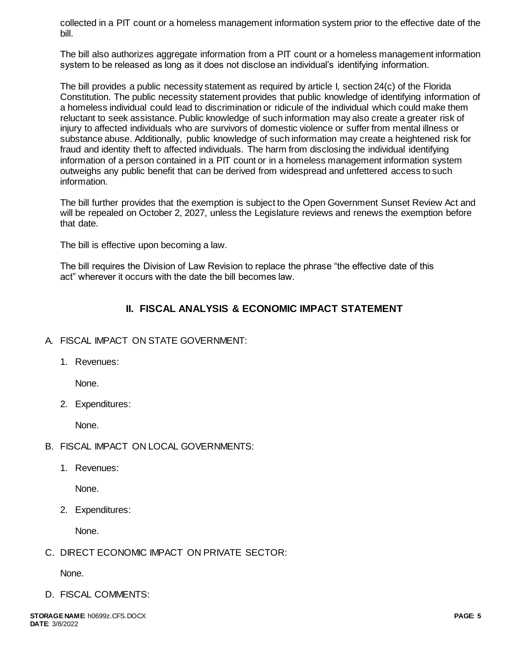collected in a PIT count or a homeless management information system prior to the effective date of the bill.

The bill also authorizes aggregate information from a PIT count or a homeless management information system to be released as long as it does not disclose an individual's identifying information.

The bill provides a public necessity statement as required by article I, section 24(c) of the Florida Constitution. The public necessity statement provides that public knowledge of identifying information of a homeless individual could lead to discrimination or ridicule of the individual which could make them reluctant to seek assistance. Public knowledge of such information may also create a greater risk of injury to affected individuals who are survivors of domestic violence or suffer from mental illness or substance abuse. Additionally, public knowledge of such information may create a heightened risk for fraud and identity theft to affected individuals. The harm from disclosing the individual identifying information of a person contained in a PIT count or in a homeless management information system outweighs any public benefit that can be derived from widespread and unfettered access to such information.

The bill further provides that the exemption is subject to the Open Government Sunset Review Act and will be repealed on October 2, 2027, unless the Legislature reviews and renews the exemption before that date.

The bill is effective upon becoming a law.

The bill requires the Division of Law Revision to replace the phrase "the effective date of this act" wherever it occurs with the date the bill becomes law.

# **II. FISCAL ANALYSIS & ECONOMIC IMPACT STATEMENT**

## A. FISCAL IMPACT ON STATE GOVERNMENT:

1. Revenues:

None.

2. Expenditures:

None.

- B. FISCAL IMPACT ON LOCAL GOVERNMENTS:
	- 1. Revenues:

None.

2. Expenditures:

None.

C. DIRECT ECONOMIC IMPACT ON PRIVATE SECTOR:

None.

D. FISCAL COMMENTS: